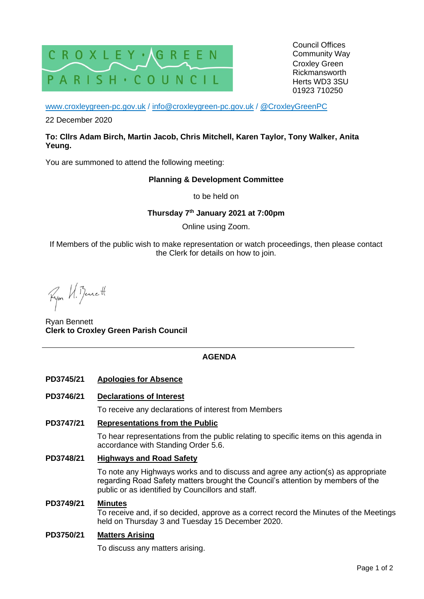

Council Offices Community Way Croxley Green Rickmansworth Herts WD3 3SU 01923 710250

[www.croxleygreen-pc.gov.uk](http://www.croxleygreen-pc.gov.uk/) / [info@croxleygreen-pc.gov.uk](mailto:info@croxleygreen-pc.gov.uk) / [@CroxleyGreenPC](https://twitter.com/CroxleyGreenPC)

22 December 2020

## **To: Cllrs Adam Birch, Martin Jacob, Chris Mitchell, Karen Taylor, Tony Walker, Anita Yeung.**

You are summoned to attend the following meeting:

## **Planning & Development Committee**

to be held on

**Thursday 7 th January 2021 at 7:00pm**

Online using Zoom.

If Members of the public wish to make representation or watch proceedings, then please contact the Clerk for details on how to join.

Ryon U. Bennett

Ryan Bennett **Clerk to Croxley Green Parish Council**

# **AGENDA**

**PD3745/21 Apologies for Absence**

## **PD3746/21 Declarations of Interest**

To receive any declarations of interest from Members

#### **PD3747/21 Representations from the Public**

To hear representations from the public relating to specific items on this agenda in accordance with Standing Order 5.6.

## **PD3748/21 Highways and Road Safety**

To note any Highways works and to discuss and agree any action(s) as appropriate regarding Road Safety matters brought the Council's attention by members of the public or as identified by Councillors and staff.

#### **PD3749/21 Minutes**

To receive and, if so decided, approve as a correct record the Minutes of the Meetings held on Thursday 3 and Tuesday 15 December 2020.

#### **PD3750/21 Matters Arising**

To discuss any matters arising.